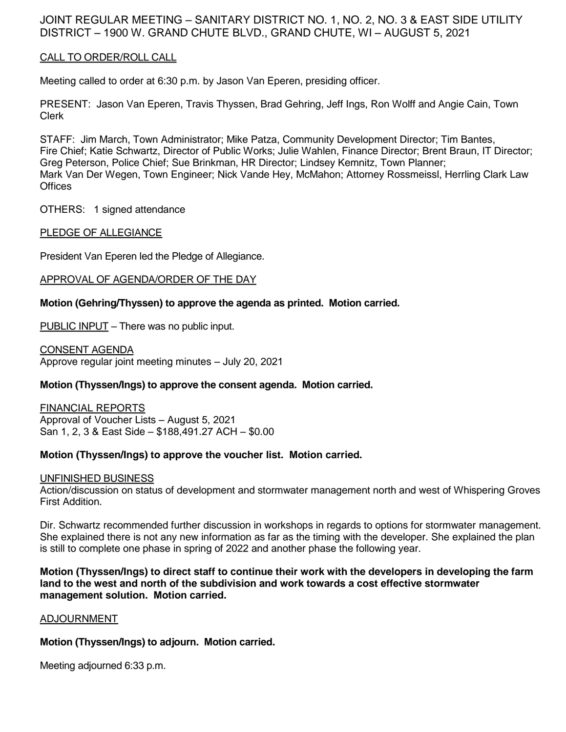# JOINT REGULAR MEETING – SANITARY DISTRICT NO. 1, NO. 2, NO. 3 & EAST SIDE UTILITY DISTRICT – 1900 W. GRAND CHUTE BLVD., GRAND CHUTE, WI – AUGUST 5, 2021

## CALL TO ORDER/ROLL CALL

Meeting called to order at 6:30 p.m. by Jason Van Eperen, presiding officer.

PRESENT: Jason Van Eperen, Travis Thyssen, Brad Gehring, Jeff Ings, Ron Wolff and Angie Cain, Town Clerk

STAFF: Jim March, Town Administrator; Mike Patza, Community Development Director; Tim Bantes, Fire Chief; Katie Schwartz, Director of Public Works; Julie Wahlen, Finance Director; Brent Braun, IT Director; Greg Peterson, Police Chief; Sue Brinkman, HR Director; Lindsey Kemnitz, Town Planner; Mark Van Der Wegen, Town Engineer; Nick Vande Hey, McMahon; Attorney Rossmeissl, Herrling Clark Law **Offices** 

OTHERS: 1 signed attendance

## PLEDGE OF ALLEGIANCE

President Van Eperen led the Pledge of Allegiance.

## APPROVAL OF AGENDA/ORDER OF THE DAY

## **Motion (Gehring/Thyssen) to approve the agenda as printed. Motion carried.**

PUBLIC INPUT – There was no public input.

CONSENT AGENDA Approve regular joint meeting minutes – July 20, 2021

## **Motion (Thyssen/Ings) to approve the consent agenda. Motion carried.**

FINANCIAL REPORTS Approval of Voucher Lists – August 5, 2021 San 1, 2, 3 & East Side – \$188,491.27 ACH – \$0.00

### **Motion (Thyssen/Ings) to approve the voucher list. Motion carried.**

### UNFINISHED BUSINESS

Action/discussion on status of development and stormwater management north and west of Whispering Groves First Addition.

Dir. Schwartz recommended further discussion in workshops in regards to options for stormwater management. She explained there is not any new information as far as the timing with the developer. She explained the plan is still to complete one phase in spring of 2022 and another phase the following year.

**Motion (Thyssen/Ings) to direct staff to continue their work with the developers in developing the farm land to the west and north of the subdivision and work towards a cost effective stormwater management solution. Motion carried.**

### ADJOURNMENT

### **Motion (Thyssen/Ings) to adjourn. Motion carried.**

Meeting adjourned 6:33 p.m.